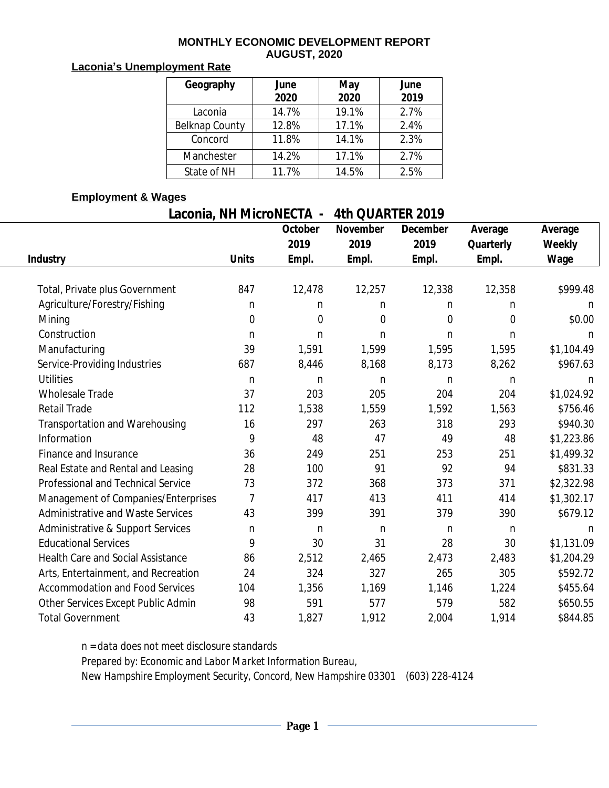#### **MONTHLY ECONOMIC DEVELOPMENT REPORT AUGUST, 2020**

# **Laconia's Unemployment Rate**

| Geography      | June<br>2020 | May<br>2020 | June<br>2019 |
|----------------|--------------|-------------|--------------|
| Laconia        | 14.7%        | 19.1%       | 2.7%         |
| Belknap County | 12.8%        | 17.1%       | 2.4%         |
| Concord        | 11.8%        | 14.1%       | 2.3%         |
| Manchester     | 14.2%        | 17.1%       | 2.7%         |
| State of NH    | 11.7%        | 14.5%       | 2.5%         |

### **Employment & Wages**

**Laconia, NH MicroNECTA - 4th QUARTER 2019**

|                                          |                | October | November | December       | Average        | Average    |
|------------------------------------------|----------------|---------|----------|----------------|----------------|------------|
|                                          |                | 2019    | 2019     | 2019           | Quarterly      | Weekly     |
| <b>Industry</b>                          | <b>Units</b>   | Empl.   | Empl.    | Empl.          | Empl.          | Wage       |
|                                          |                |         |          |                |                |            |
| Total, Private plus Government           | 847            | 12,478  | 12,257   | 12,338         | 12,358         | \$999.48   |
| Agriculture/Forestry/Fishing             | n              | n       | n        | n              | n              | n          |
| Mining                                   | $\overline{0}$ | 0       | 0        | $\overline{0}$ | $\overline{0}$ | \$0.00     |
| Construction                             | $\mathsf{n}$   | n       | n        | n              | n              | n          |
| Manufacturing                            | 39             | 1,591   | 1,599    | 1,595          | 1,595          | \$1,104.49 |
| Service-Providing Industries             | 687            | 8,446   | 8,168    | 8,173          | 8,262          | \$967.63   |
| <b>Utilities</b>                         | n              | n       | n        | n              | n              | n          |
| <b>Wholesale Trade</b>                   | 37             | 203     | 205      | 204            | 204            | \$1,024.92 |
| <b>Retail Trade</b>                      | 112            | 1,538   | 1,559    | 1,592          | 1,563          | \$756.46   |
| Transportation and Warehousing           | 16             | 297     | 263      | 318            | 293            | \$940.30   |
| Information                              | 9              | 48      | 47       | 49             | 48             | \$1,223.86 |
| Finance and Insurance                    | 36             | 249     | 251      | 253            | 251            | \$1,499.32 |
| Real Estate and Rental and Leasing       | 28             | 100     | 91       | 92             | 94             | \$831.33   |
| Professional and Technical Service       | 73             | 372     | 368      | 373            | 371            | \$2,322.98 |
| Management of Companies/Enterprises      | $\overline{7}$ | 417     | 413      | 411            | 414            | \$1,302.17 |
| Administrative and Waste Services        | 43             | 399     | 391      | 379            | 390            | \$679.12   |
| Administrative & Support Services        | n              | n       | n        | n              | n              | n          |
| <b>Educational Services</b>              | 9              | 30      | 31       | 28             | 30             | \$1,131.09 |
| <b>Health Care and Social Assistance</b> | 86             | 2,512   | 2,465    | 2,473          | 2,483          | \$1,204.29 |
| Arts, Entertainment, and Recreation      | 24             | 324     | 327      | 265            | 305            | \$592.72   |
| <b>Accommodation and Food Services</b>   | 104            | 1,356   | 1,169    | 1,146          | 1,224          | \$455.64   |
| Other Services Except Public Admin       | 98             | 591     | 577      | 579            | 582            | \$650.55   |
| <b>Total Government</b>                  | 43             | 1,827   | 1,912    | 2,004          | 1,914          | \$844.85   |

*n = data does not meet disclosure standards Prepared by: Economic and Labor Market Information Bureau,*

*New Hampshire Employment Security, Concord, New Hampshire 03301 (603) 228-4124*